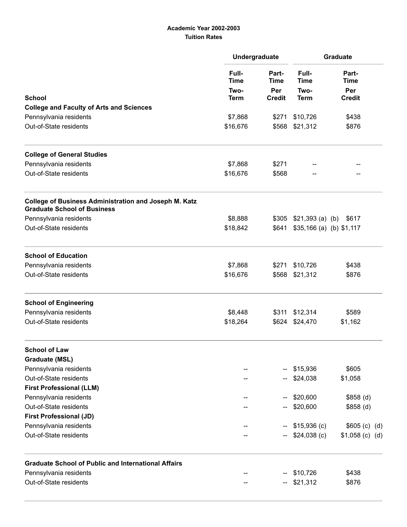## Academic Year 2002-2003 Tuition Rates

|                                                                                                    | Undergraduate                                                      |                             | Graduate                                                            |                             |  |
|----------------------------------------------------------------------------------------------------|--------------------------------------------------------------------|-----------------------------|---------------------------------------------------------------------|-----------------------------|--|
|                                                                                                    | Full-<br><b>Time</b><br>Two-<br><b>Term</b><br>\$7,868<br>\$16,676 | Part-<br><b>Time</b><br>Per | Full-<br><b>Time</b><br>Two-<br><b>Term</b><br>\$10,726<br>\$21,312 | Part-<br><b>Time</b><br>Per |  |
| <b>School</b>                                                                                      |                                                                    | <b>Credit</b>               |                                                                     | <b>Credit</b>               |  |
| <b>College and Faculty of Arts and Sciences</b>                                                    |                                                                    | \$271<br>\$568              |                                                                     |                             |  |
| Pennsylvania residents                                                                             |                                                                    |                             |                                                                     | \$438                       |  |
| Out-of-State residents                                                                             |                                                                    |                             |                                                                     | \$876                       |  |
| <b>College of General Studies</b>                                                                  |                                                                    |                             |                                                                     |                             |  |
| Pennsylvania residents                                                                             | \$7,868                                                            | \$271                       |                                                                     |                             |  |
| Out-of-State residents                                                                             | \$16,676                                                           | \$568                       |                                                                     |                             |  |
| <b>College of Business Administration and Joseph M. Katz</b><br><b>Graduate School of Business</b> |                                                                    |                             |                                                                     |                             |  |
| Pennsylvania residents                                                                             | \$8,888                                                            |                             | $$305$ $$21,393$ (a) (b)                                            | \$617                       |  |
| Out-of-State residents                                                                             | \$18,842                                                           | \$641                       | $$35,166$ (a) (b) $$1,117$                                          |                             |  |
| <b>School of Education</b>                                                                         |                                                                    |                             |                                                                     |                             |  |
| Pennsylvania residents                                                                             | \$7,868                                                            | \$271                       | \$10,726                                                            | \$438                       |  |
| Out-of-State residents                                                                             | \$16,676                                                           | \$568                       | \$21,312                                                            | \$876                       |  |
| <b>School of Engineering</b>                                                                       |                                                                    |                             |                                                                     |                             |  |
| Pennsylvania residents                                                                             | \$8,448                                                            |                             | \$311 \$12,314                                                      | \$589                       |  |
| Out-of-State residents                                                                             | \$18,264                                                           | \$624                       | \$24,470                                                            | \$1,162                     |  |
| <b>School of Law</b>                                                                               |                                                                    |                             |                                                                     |                             |  |
| <b>Graduate (MSL)</b>                                                                              |                                                                    |                             |                                                                     |                             |  |
| Pennsylvania residents                                                                             |                                                                    |                             | \$15,936                                                            | \$605                       |  |
| Out-of-State residents                                                                             |                                                                    |                             | \$24,038                                                            | \$1,058                     |  |
| <b>First Professional (LLM)</b>                                                                    |                                                                    |                             |                                                                     |                             |  |
| Pennsylvania residents                                                                             |                                                                    |                             | \$20,600                                                            | $$858$ (d)                  |  |
| Out-of-State residents                                                                             |                                                                    |                             | \$20,600                                                            | $$858$ (d)                  |  |
| <b>First Professional (JD)</b>                                                                     |                                                                    |                             |                                                                     |                             |  |
| Pennsylvania residents                                                                             |                                                                    |                             | \$15,936(c)                                                         | \$605 (c) (d)               |  |
| Out-of-State residents                                                                             |                                                                    |                             | $$24,038$ (c)                                                       | $$1,058$ (c) (d)            |  |
| <b>Graduate School of Public and International Affairs</b>                                         |                                                                    |                             |                                                                     |                             |  |
| Pennsylvania residents                                                                             |                                                                    |                             | \$10,726                                                            | \$438                       |  |
| Out-of-State residents                                                                             |                                                                    |                             | \$21,312                                                            | \$876                       |  |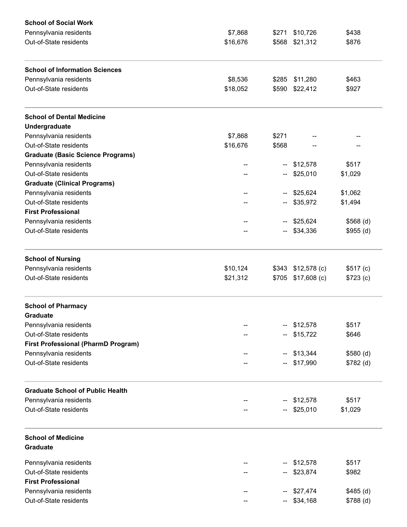| <b>School of Social Work</b>               |          |       |               |            |  |
|--------------------------------------------|----------|-------|---------------|------------|--|
| Pennsylvania residents                     | \$7,868  | \$271 | \$10,726      | \$438      |  |
| Out-of-State residents                     | \$16,676 | \$568 | \$21,312      | \$876      |  |
| <b>School of Information Sciences</b>      |          |       |               |            |  |
| Pennsylvania residents                     | \$8,536  | \$285 | \$11,280      | \$463      |  |
| Out-of-State residents                     | \$18,052 | \$590 | \$22,412      | \$927      |  |
| <b>School of Dental Medicine</b>           |          |       |               |            |  |
| Undergraduate                              |          |       |               |            |  |
| Pennsylvania residents                     | \$7,868  | \$271 |               |            |  |
| Out-of-State residents                     | \$16,676 | \$568 |               |            |  |
| <b>Graduate (Basic Science Programs)</b>   |          |       |               |            |  |
| Pennsylvania residents                     |          |       | \$12,578      | \$517      |  |
| Out-of-State residents                     |          |       | \$25,010      | \$1,029    |  |
| <b>Graduate (Clinical Programs)</b>        |          |       |               |            |  |
| Pennsylvania residents                     |          |       | $-$ \$25,624  | \$1,062    |  |
| Out-of-State residents                     |          |       | \$35,972      | \$1,494    |  |
| <b>First Professional</b>                  |          |       |               |            |  |
| Pennsylvania residents                     |          |       | \$25,624      | \$568(d)   |  |
| Out-of-State residents                     |          |       |               |            |  |
|                                            |          |       | $-$ \$34,336  | \$955(d)   |  |
| <b>School of Nursing</b>                   |          |       |               |            |  |
| Pennsylvania residents                     | \$10,124 | \$343 | $$12,578$ (c) | \$517(c)   |  |
| Out-of-State residents                     | \$21,312 | \$705 | $$17,608$ (c) | \$723 (c)  |  |
| <b>School of Pharmacy</b>                  |          |       |               |            |  |
| Graduate                                   |          |       |               |            |  |
| Pennsylvania residents                     |          |       | \$12,578      | \$517      |  |
| Out-of-State residents                     |          |       | \$15,722      | \$646      |  |
| <b>First Professional (PharmD Program)</b> |          |       |               |            |  |
| Pennsylvania residents                     |          |       | \$13,344      | \$580(d)   |  |
| Out-of-State residents                     |          |       | \$17,990      | \$782(d)   |  |
| <b>Graduate School of Public Health</b>    |          |       |               |            |  |
| Pennsylvania residents                     |          |       | \$12,578      | \$517      |  |
| Out-of-State residents                     |          |       | \$25,010      | \$1,029    |  |
|                                            |          |       |               |            |  |
| <b>School of Medicine</b>                  |          |       |               |            |  |
| Graduate                                   |          |       |               |            |  |
| Pennsylvania residents                     |          |       | \$12,578      | \$517      |  |
| Out-of-State residents                     |          |       | \$23,874      | \$982      |  |
| <b>First Professional</b>                  |          |       |               |            |  |
| Pennsylvania residents                     |          |       | \$27,474      | $$485$ (d) |  |
| Out-of-State residents                     |          |       | \$34,168      | \$788 (d)  |  |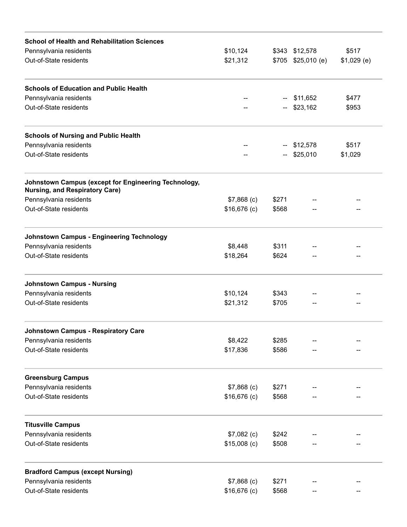| <b>School of Health and Rehabilitation Sciences</b>                                           |               |       |                      |              |  |
|-----------------------------------------------------------------------------------------------|---------------|-------|----------------------|--------------|--|
| Pennsylvania residents                                                                        | \$10,124      |       | \$343 \$12,578       | \$517        |  |
| Out-of-State residents                                                                        | \$21,312      |       | $$705$ $$25,010$ (e) | $$1,029$ (e) |  |
| <b>Schools of Education and Public Health</b>                                                 |               |       |                      |              |  |
| Pennsylvania residents                                                                        |               |       | $-$ \$11,652         | \$477        |  |
| Out-of-State residents                                                                        |               |       | $-$ \$23,162         | \$953        |  |
| <b>Schools of Nursing and Public Health</b>                                                   |               |       |                      |              |  |
| Pennsylvania residents                                                                        |               |       | $-$ \$12,578         | \$517        |  |
| Out-of-State residents                                                                        |               |       | $-$ \$25,010         | \$1,029      |  |
| Johnstown Campus (except for Engineering Technology,<br><b>Nursing, and Respiratory Care)</b> |               |       |                      |              |  |
| Pennsylvania residents                                                                        | $$7,868$ (c)  | \$271 |                      |              |  |
| Out-of-State residents                                                                        | $$16,676$ (c) | \$568 |                      |              |  |
| <b>Johnstown Campus - Engineering Technology</b>                                              |               |       |                      |              |  |
| Pennsylvania residents                                                                        | \$8,448       | \$311 |                      |              |  |
| Out-of-State residents                                                                        | \$18,264      | \$624 |                      |              |  |
| <b>Johnstown Campus - Nursing</b>                                                             |               |       |                      |              |  |
| Pennsylvania residents                                                                        | \$10,124      | \$343 |                      |              |  |
| Out-of-State residents                                                                        | \$21,312      | \$705 |                      |              |  |
| <b>Johnstown Campus - Respiratory Care</b>                                                    |               |       |                      |              |  |
| Pennsylvania residents                                                                        | \$8,422       | \$285 |                      |              |  |
| Out-of-State residents                                                                        | \$17,836      | \$586 |                      |              |  |
| <b>Greensburg Campus</b>                                                                      |               |       |                      |              |  |
| Pennsylvania residents                                                                        | $$7,868$ (c)  | \$271 |                      |              |  |
| Out-of-State residents                                                                        | $$16,676$ (c) | \$568 |                      |              |  |
| <b>Titusville Campus</b>                                                                      |               |       |                      |              |  |
| Pennsylvania residents                                                                        | $$7,082$ (c)  | \$242 |                      |              |  |
| Out-of-State residents                                                                        | $$15,008$ (c) | \$508 |                      |              |  |
| <b>Bradford Campus (except Nursing)</b>                                                       |               |       |                      |              |  |
| Pennsylvania residents                                                                        | $$7,868$ (c)  | \$271 |                      |              |  |
| Out-of-State residents                                                                        | $$16,676$ (c) | \$568 |                      |              |  |